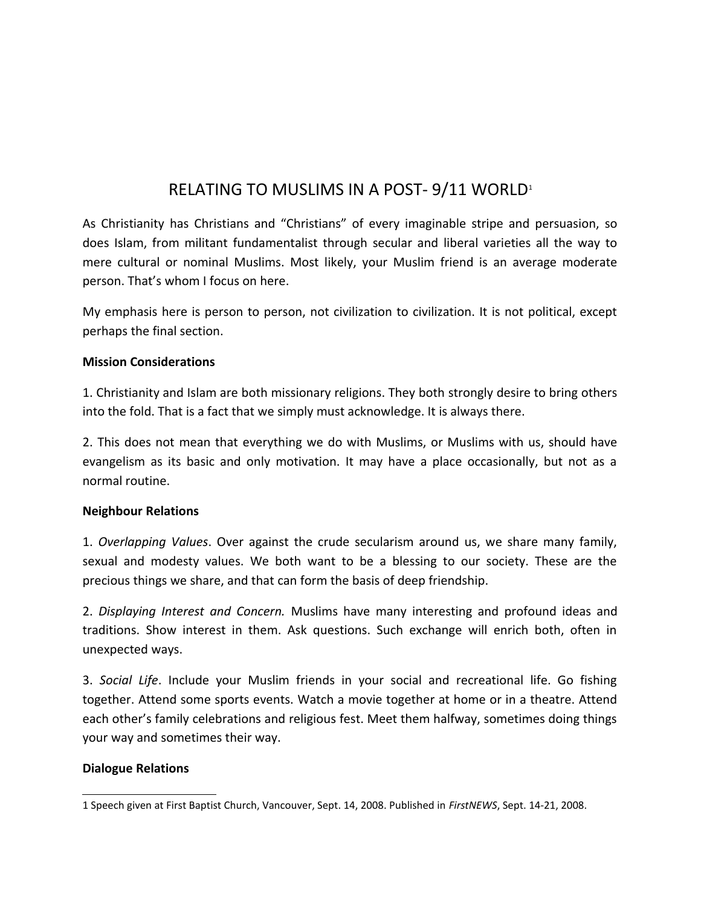# RELATING TO MUSLIMS IN A POST-9/[1](#page-0-0)1 WORLD<sup>1</sup>

As Christianity has Christians and "Christians" of every imaginable stripe and persuasion, so does Islam, from militant fundamentalist through secular and liberal varieties all the way to mere cultural or nominal Muslims. Most likely, your Muslim friend is an average moderate person. That's whom I focus on here.

My emphasis here is person to person, not civilization to civilization. It is not political, except perhaps the final section.

### **Mission Considerations**

1. Christianity and Islam are both missionary religions. They both strongly desire to bring others into the fold. That is a fact that we simply must acknowledge. It is always there.

2. This does not mean that everything we do with Muslims, or Muslims with us, should have evangelism as its basic and only motivation. It may have a place occasionally, but not as a normal routine.

#### **Neighbour Relations**

1. *Overlapping Values*. Over against the crude secularism around us, we share many family, sexual and modesty values. We both want to be a blessing to our society. These are the precious things we share, and that can form the basis of deep friendship.

2. *Displaying Interest and Concern.* Muslims have many interesting and profound ideas and traditions. Show interest in them. Ask questions. Such exchange will enrich both, often in unexpected ways.

3. *Social Life*. Include your Muslim friends in your social and recreational life. Go fishing together. Attend some sports events. Watch a movie together at home or in a theatre. Attend each other's family celebrations and religious fest. Meet them halfway, sometimes doing things your way and sometimes their way.

#### **Dialogue Relations**

<span id="page-0-0"></span><sup>1</sup> Speech given at First Baptist Church, Vancouver, Sept. 14, 2008. Published in *FirstNEWS*, Sept. 14-21, 2008.